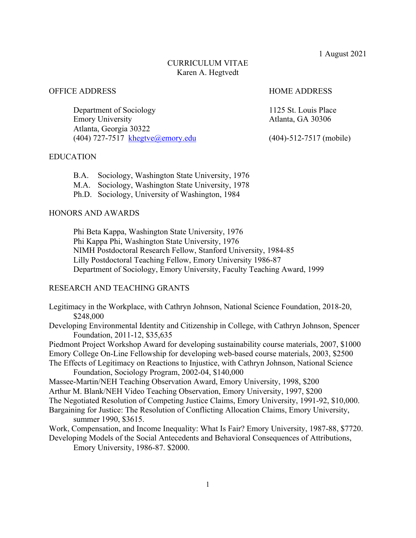1 August 2021

# CURRICULUM VITAE Karen A. Hegtvedt

# OFFICE ADDRESS HOME ADDRESS

Department of Sociology 1125 St. Louis Place Emory University **Atlanta**, GA 30306 Atlanta, Georgia 30322 (404) 727-7517 khegtve@emory.edu (404)-512-7517 (mobile)

# EDUCATION

- B.A. Sociology, Washington State University, 1976
- M.A. Sociology, Washington State University, 1978
- Ph.D. Sociology, University of Washington, 1984

# HONORS AND AWARDS

Phi Beta Kappa, Washington State University, 1976 Phi Kappa Phi, Washington State University, 1976 NIMH Postdoctoral Research Fellow, Stanford University, 1984-85 Lilly Postdoctoral Teaching Fellow, Emory University 1986-87 Department of Sociology, Emory University, Faculty Teaching Award, 1999

# RESEARCH AND TEACHING GRANTS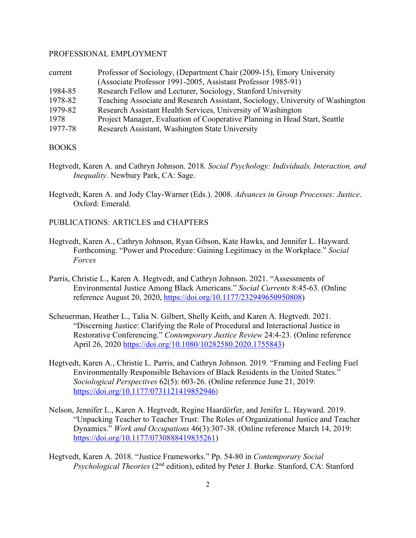### PROFESSIONAL EMPLOYMENT

| current | Professor of Sociology, (Department Chair (2009-15), Emory University          |
|---------|--------------------------------------------------------------------------------|
|         | (Associate Professor 1991-2005, Assistant Professor 1985-91)                   |
| 1984-85 | Research Fellow and Lecturer, Sociology, Stanford University                   |
| 1978-82 | Teaching Associate and Research Assistant, Sociology, University of Washington |
| 1979-82 | Research Assistant Health Services, University of Washington                   |
| 1978    | Project Manager, Evaluation of Cooperative Planning in Head Start, Seattle     |
| 1977-78 | Research Assistant, Washington State University                                |

#### BOOKS

- Hegtvedt, Karen A. and Cathryn Johnson. 2018. *Social Psychology: Individuals, Interaction, and Inequality.* Newbury Park, CA: Sage.
- Hegtvedt, Karen A. and Jody Clay-Warner (Eds.). 2008. *Advances in Group Processes: Justice*. Oxford: Emerald.
- PUBLICATIONS: ARTICLES and CHAPTERS
- Hegtvedt, Karen A., Cathryn Johnson, Ryan Gibson, Kate Hawks, and Jennifer L. Hayward. Forthcoming. "Power and Procedure: Gaining Legitimacy in the Workplace." *Social Forces*
- Parris, Christie L., Karen A. Hegtvedt, and Cathryn Johnson. 2021. "Assessments of Environmental Justice Among Black Americans." *Social Currents* 8:45-63. (Online reference August 20, 2020, https://doi.org/10.1177/232949650950808)
- Scheuerman, Heather L., Talia N. Gilbert, Shelly Keith, and Karen A. Hegtvedt. 2021. "Discerning Justice: Clarifying the Role of Procedural and Interactional Justice in Restorative Conferencing." *Contemporary Justice Review* 24:4-23. (Online reference April 26, 2020 https://doi.org/10.1080/10282580.2020.1755843)
- Hegtvedt, Karen A., Christie L. Parris, and Cathryn Johnson. 2019. "Framing and Feeling Fuel Environmentally Responsible Behaviors of Black Residents in the United States." *Sociological Perspectives* 62(5): 603-26. (Online reference June 21, 2019: https://doi.org/10.1177/0731121419852946)
- Nelson, Jennifer L., Karen A. Hegtvedt, Regine Haardörfer, and Jenifer L. Hayward. 2019. "Unpacking Teacher to Teacher Trust: The Roles of Organizational Justice and Teacher Dynamics." *Work and Occupations* 46(3):307-38. (Online reference March 14, 2019: https://doi.org/10.1177/0730888419835261)
- Hegtvedt, Karen A. 2018. "Justice Frameworks." Pp. 54-80 in *Contemporary Social Psychological Theories* (2nd edition), edited by Peter J. Burke. Stanford, CA: Stanford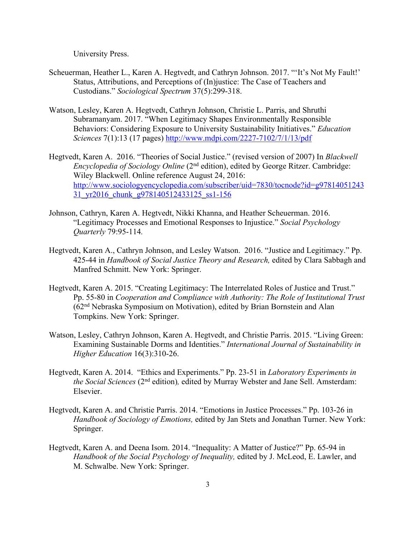University Press.

- Scheuerman, Heather L., Karen A. Hegtvedt, and Cathryn Johnson. 2017. "'It's Not My Fault!' Status, Attributions, and Perceptions of (In)justice: The Case of Teachers and Custodians." *Sociological Spectrum* 37(5):299-318.
- Watson, Lesley, Karen A. Hegtvedt, Cathryn Johnson, Christie L. Parris, and Shruthi Subramanyam. 2017. "When Legitimacy Shapes Environmentally Responsible Behaviors: Considering Exposure to University Sustainability Initiatives." *Education Sciences* 7(1):13 (17 pages) http://www.mdpi.com/2227-7102/7/1/13/pdf
- Hegtvedt, Karen A. 2016. "Theories of Social Justice." (revised version of 2007) In *Blackwell Encyclopedia of Sociology Online* (2<sup>nd</sup> edition), edited by George Ritzer. Cambridge: Wiley Blackwell. Online reference August 24, 2016: http://www.sociologyencyclopedia.com/subscriber/uid=7830/tocnode?id=g97814051243 31\_yr2016\_chunk\_g978140512433125\_ss1-156
- Johnson, Cathryn, Karen A. Hegtvedt, Nikki Khanna, and Heather Scheuerman. 2016. "Legitimacy Processes and Emotional Responses to Injustice." *Social Psychology Quarterly* 79:95-114*.*
- Hegtvedt, Karen A., Cathryn Johnson, and Lesley Watson. 2016. "Justice and Legitimacy." Pp. 425-44 in *Handbook of Social Justice Theory and Research,* edited by Clara Sabbagh and Manfred Schmitt. New York: Springer.
- Hegtvedt, Karen A. 2015. "Creating Legitimacy: The Interrelated Roles of Justice and Trust." Pp. 55-80 in *Cooperation and Compliance with Authority: The Role of Institutional Trust* (62nd Nebraska Symposium on Motivation), edited by Brian Bornstein and Alan Tompkins. New York: Springer.
- Watson, Lesley, Cathryn Johnson, Karen A. Hegtvedt, and Christie Parris. 2015. "Living Green: Examining Sustainable Dorms and Identities." *International Journal of Sustainability in Higher Education* 16(3):310-26.
- Hegtvedt, Karen A. 2014. "Ethics and Experiments." Pp. 23-51 in *Laboratory Experiments in the Social Sciences* (2nd edition)*,* edited by Murray Webster and Jane Sell. Amsterdam: Elsevier.
- Hegtvedt, Karen A. and Christie Parris. 2014. "Emotions in Justice Processes." Pp. 103-26 in *Handbook of Sociology of Emotions,* edited by Jan Stets and Jonathan Turner. New York: Springer.
- Hegtvedt, Karen A. and Deena Isom. 2014. "Inequality: A Matter of Justice?" Pp. 65-94 in *Handbook of the Social Psychology of Inequality,* edited by J. McLeod, E. Lawler, and M. Schwalbe. New York: Springer.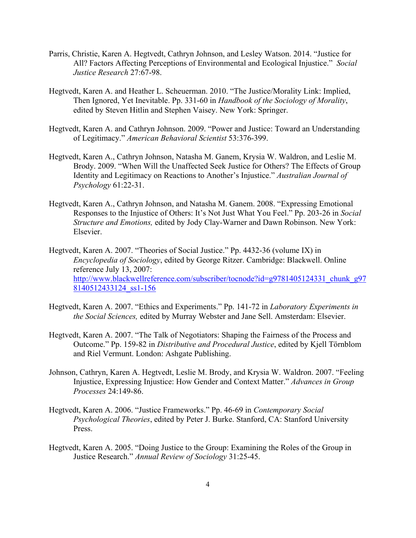- Parris, Christie, Karen A. Hegtvedt, Cathryn Johnson, and Lesley Watson. 2014. "Justice for All? Factors Affecting Perceptions of Environmental and Ecological Injustice." *Social Justice Research* 27:67-98.
- Hegtvedt, Karen A. and Heather L. Scheuerman. 2010. "The Justice/Morality Link: Implied, Then Ignored, Yet Inevitable. Pp. 331-60 in *Handbook of the Sociology of Morality*, edited by Steven Hitlin and Stephen Vaisey. New York: Springer.
- Hegtvedt, Karen A. and Cathryn Johnson. 2009. "Power and Justice: Toward an Understanding of Legitimacy." *American Behavioral Scientist* 53:376-399.
- Hegtvedt, Karen A., Cathryn Johnson, Natasha M. Ganem, Krysia W. Waldron, and Leslie M. Brody. 2009. "When Will the Unaffected Seek Justice for Others? The Effects of Group Identity and Legitimacy on Reactions to Another's Injustice." *Australian Journal of Psychology* 61:22-31.
- Hegtvedt, Karen A., Cathryn Johnson, and Natasha M. Ganem. 2008. "Expressing Emotional Responses to the Injustice of Others: It's Not Just What You Feel." Pp. 203-26 in *Social Structure and Emotions,* edited by Jody Clay-Warner and Dawn Robinson. New York: Elsevier.
- Hegtvedt, Karen A. 2007. "Theories of Social Justice." Pp. 4432-36 (volume IX) in *Encyclopedia of Sociology*, edited by George Ritzer. Cambridge: Blackwell. Online reference July 13, 2007: http://www.blackwellreference.com/subscriber/tocnode?id=g9781405124331\_chunk\_g97 8140512433124\_ss1-156
- Hegtvedt, Karen A. 2007. "Ethics and Experiments." Pp. 141-72 in *Laboratory Experiments in the Social Sciences,* edited by Murray Webster and Jane Sell. Amsterdam: Elsevier.
- Hegtvedt, Karen A. 2007. "The Talk of Negotiators: Shaping the Fairness of the Process and Outcome." Pp. 159-82 in *Distributive and Procedural Justice*, edited by Kjell Törnblom and Riel Vermunt. London: Ashgate Publishing.
- Johnson, Cathryn, Karen A. Hegtvedt, Leslie M. Brody, and Krysia W. Waldron. 2007. "Feeling Injustice, Expressing Injustice: How Gender and Context Matter." *Advances in Group Processes* 24:149-86.
- Hegtvedt, Karen A. 2006. "Justice Frameworks." Pp. 46-69 in *Contemporary Social Psychological Theories*, edited by Peter J. Burke. Stanford, CA: Stanford University Press.
- Hegtvedt, Karen A. 2005. "Doing Justice to the Group: Examining the Roles of the Group in Justice Research." *Annual Review of Sociology* 31:25-45.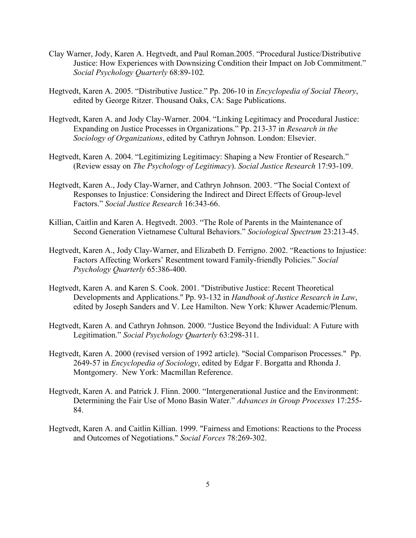- Clay Warner, Jody, Karen A. Hegtvedt, and Paul Roman.2005. "Procedural Justice/Distributive Justice: How Experiences with Downsizing Condition their Impact on Job Commitment." *Social Psychology Quarterly* 68:89-102*.*
- Hegtvedt, Karen A. 2005. "Distributive Justice." Pp. 206-10 in *Encyclopedia of Social Theory*, edited by George Ritzer. Thousand Oaks, CA: Sage Publications.
- Hegtvedt, Karen A. and Jody Clay-Warner. 2004. "Linking Legitimacy and Procedural Justice: Expanding on Justice Processes in Organizations." Pp. 213-37 in *Research in the Sociology of Organizations*, edited by Cathryn Johnson. London: Elsevier.
- Hegtvedt, Karen A. 2004. "Legitimizing Legitimacy: Shaping a New Frontier of Research." (Review essay on *The Psychology of Legitimacy*). *Social Justice Research* 17:93-109.
- Hegtvedt, Karen A., Jody Clay-Warner, and Cathryn Johnson. 2003. "The Social Context of Responses to Injustice: Considering the Indirect and Direct Effects of Group-level Factors." *Social Justice Research* 16:343-66.
- Killian, Caitlin and Karen A. Hegtvedt. 2003. "The Role of Parents in the Maintenance of Second Generation Vietnamese Cultural Behaviors." *Sociological Spectrum* 23:213-45.
- Hegtvedt, Karen A., Jody Clay-Warner, and Elizabeth D. Ferrigno. 2002. "Reactions to Injustice: Factors Affecting Workers' Resentment toward Family-friendly Policies." *Social Psychology Quarterly* 65:386-400.
- Hegtvedt, Karen A. and Karen S. Cook. 2001. "Distributive Justice: Recent Theoretical Developments and Applications." Pp. 93-132 in *Handbook of Justice Research in Law*, edited by Joseph Sanders and V. Lee Hamilton. New York: Kluwer Academic/Plenum.
- Hegtvedt, Karen A. and Cathryn Johnson. 2000. "Justice Beyond the Individual: A Future with Legitimation." *Social Psychology Quarterly* 63:298-311.
- Hegtvedt, Karen A. 2000 (revised version of 1992 article). "Social Comparison Processes." Pp. 2649-57 in *Encyclopedia of Sociology*, edited by Edgar F. Borgatta and Rhonda J. Montgomery. New York: Macmillan Reference.
- Hegtvedt, Karen A. and Patrick J. Flinn. 2000. "Intergenerational Justice and the Environment: Determining the Fair Use of Mono Basin Water." *Advances in Group Processes* 17:255- 84.
- Hegtvedt, Karen A. and Caitlin Killian. 1999. "Fairness and Emotions: Reactions to the Process and Outcomes of Negotiations." *Social Forces* 78:269-302.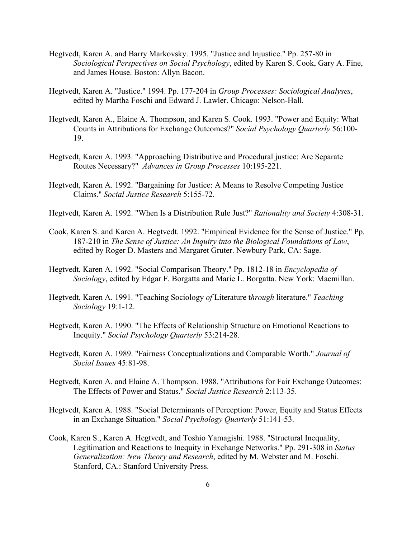- Hegtvedt, Karen A. and Barry Markovsky. 1995. "Justice and Injustice." Pp. 257-80 in *Sociological Perspectives on Social Psychology*, edited by Karen S. Cook, Gary A. Fine, and James House. Boston: Allyn Bacon.
- Hegtvedt, Karen A. "Justice." 1994. Pp. 177-204 in *Group Processes: Sociological Analyses*, edited by Martha Foschi and Edward J. Lawler. Chicago: Nelson-Hall.
- Hegtvedt, Karen A., Elaine A. Thompson, and Karen S. Cook. 1993. "Power and Equity: What Counts in Attributions for Exchange Outcomes?" *Social Psychology Quarterly* 56:100- 19.
- Hegtvedt, Karen A. 1993. "Approaching Distributive and Procedural justice: Are Separate Routes Necessary?" *Advances in Group Processes* 10:195-221.
- Hegtvedt, Karen A. 1992. "Bargaining for Justice: A Means to Resolve Competing Justice Claims." *Social Justice Research* 5:155-72.
- Hegtvedt, Karen A. 1992. "When Is a Distribution Rule Just?" *Rationality and Society* 4:308-31.
- Cook, Karen S. and Karen A. Hegtvedt. 1992. "Empirical Evidence for the Sense of Justice." Pp. 187-210 in *The Sense of Justice: An Inquiry into the Biological Foundations of Law*, edited by Roger D. Masters and Margaret Gruter. Newbury Park, CA: Sage.
- Hegtvedt, Karen A. 1992. "Social Comparison Theory." Pp. 1812-18 in *Encyclopedia of Sociology*, edited by Edgar F. Borgatta and Marie L. Borgatta. New York: Macmillan.
- Hegtvedt, Karen A. 1991. "Teaching Sociology *of* Literature t*hrough* literature." *Teaching Sociology* 19:1-12.
- Hegtvedt, Karen A. 1990. "The Effects of Relationship Structure on Emotional Reactions to Inequity." *Social Psychology Quarterly* 53:214-28.
- Hegtvedt, Karen A. 1989. "Fairness Conceptualizations and Comparable Worth." *Journal of Social Issues* 45:81-98.
- Hegtvedt, Karen A. and Elaine A. Thompson. 1988. "Attributions for Fair Exchange Outcomes: The Effects of Power and Status." *Social Justice Research* 2:113-35.
- Hegtvedt, Karen A. 1988. "Social Determinants of Perception: Power, Equity and Status Effects in an Exchange Situation." *Social Psychology Quarterly* 51:141-53.
- Cook, Karen S., Karen A. Hegtvedt, and Toshio Yamagishi. 1988. "Structural Inequality, Legitimation and Reactions to Inequity in Exchange Networks." Pp. 291-308 in *Status Generalization: New Theory and Research*, edited by M. Webster and M. Foschi. Stanford, CA.: Stanford University Press.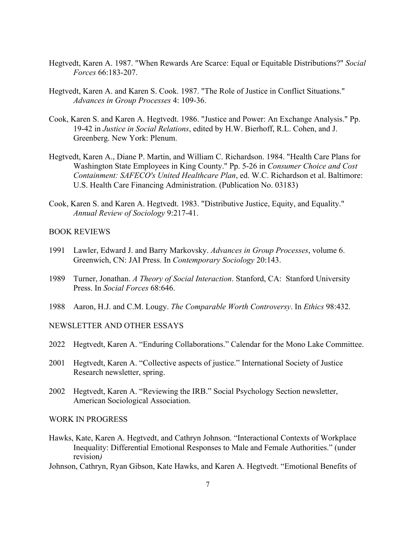- Hegtvedt, Karen A. 1987. "When Rewards Are Scarce: Equal or Equitable Distributions?" *Social Forces* 66:183-207.
- Hegtvedt, Karen A. and Karen S. Cook. 1987. "The Role of Justice in Conflict Situations." *Advances in Group Processes* 4: 109-36.
- Cook, Karen S. and Karen A. Hegtvedt. 1986. "Justice and Power: An Exchange Analysis." Pp. 19-42 in *Justice in Social Relations*, edited by H.W. Bierhoff, R.L. Cohen, and J. Greenberg. New York: Plenum.
- Hegtvedt, Karen A., Diane P. Martin, and William C. Richardson. 1984. "Health Care Plans for Washington State Employees in King County." Pp. 5-26 in *Consumer Choice and Cost Containment: SAFECO's United Healthcare Plan*, ed. W.C. Richardson et al. Baltimore: U.S. Health Care Financing Administration. (Publication No. 03183)
- Cook, Karen S. and Karen A. Hegtvedt. 1983. "Distributive Justice, Equity, and Equality." *Annual Review of Sociology* 9:217-41.

#### BOOK REVIEWS

- 1991 Lawler, Edward J. and Barry Markovsky. *Advances in Group Processes*, volume 6. Greenwich, CN: JAI Press. In *Contemporary Sociology* 20:143.
- 1989 Turner, Jonathan. *A Theory of Social Interaction*. Stanford, CA: Stanford University Press. In *Social Forces* 68:646.
- 1988 Aaron, H.J. and C.M. Lougy. *The Comparable Worth Controversy*. In *Ethics* 98:432.

# NEWSLETTER AND OTHER ESSAYS

- 2022 Hegtvedt, Karen A. "Enduring Collaborations." Calendar for the Mono Lake Committee.
- 2001 Hegtvedt, Karen A. "Collective aspects of justice." International Society of Justice Research newsletter, spring.
- 2002 Hegtvedt, Karen A. "Reviewing the IRB." Social Psychology Section newsletter, American Sociological Association.

## WORK IN PROGRESS

- Hawks, Kate, Karen A. Hegtvedt, and Cathryn Johnson. "Interactional Contexts of Workplace Inequality: Differential Emotional Responses to Male and Female Authorities." (under revision*)*
- Johnson, Cathryn, Ryan Gibson, Kate Hawks, and Karen A. Hegtvedt. "Emotional Benefits of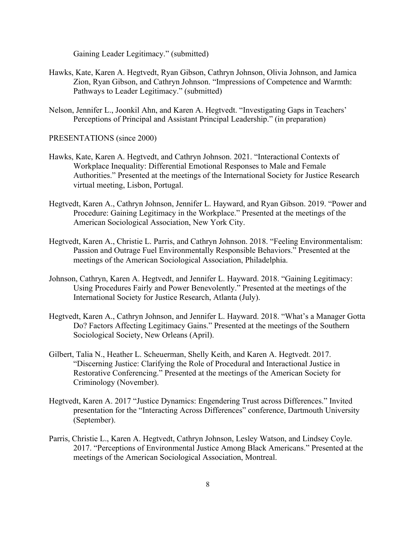Gaining Leader Legitimacy." (submitted)

- Hawks, Kate, Karen A. Hegtvedt, Ryan Gibson, Cathryn Johnson, Olivia Johnson, and Jamica Zion, Ryan Gibson, and Cathryn Johnson. "Impressions of Competence and Warmth: Pathways to Leader Legitimacy." (submitted)
- Nelson, Jennifer L., Joonkil Ahn, and Karen A. Hegtvedt. "Investigating Gaps in Teachers' Perceptions of Principal and Assistant Principal Leadership." (in preparation)

PRESENTATIONS (since 2000)

- Hawks, Kate, Karen A. Hegtvedt, and Cathryn Johnson. 2021. "Interactional Contexts of Workplace Inequality: Differential Emotional Responses to Male and Female Authorities." Presented at the meetings of the International Society for Justice Research virtual meeting, Lisbon, Portugal.
- Hegtvedt, Karen A., Cathryn Johnson, Jennifer L. Hayward, and Ryan Gibson. 2019. "Power and Procedure: Gaining Legitimacy in the Workplace." Presented at the meetings of the American Sociological Association, New York City.
- Hegtvedt, Karen A., Christie L. Parris, and Cathryn Johnson. 2018. "Feeling Environmentalism: Passion and Outrage Fuel Environmentally Responsible Behaviors." Presented at the meetings of the American Sociological Association, Philadelphia.
- Johnson, Cathryn, Karen A. Hegtvedt, and Jennifer L. Hayward. 2018. "Gaining Legitimacy: Using Procedures Fairly and Power Benevolently." Presented at the meetings of the International Society for Justice Research, Atlanta (July).
- Hegtvedt, Karen A., Cathryn Johnson, and Jennifer L. Hayward. 2018. "What's a Manager Gotta Do? Factors Affecting Legitimacy Gains." Presented at the meetings of the Southern Sociological Society, New Orleans (April).
- Gilbert, Talia N., Heather L. Scheuerman, Shelly Keith, and Karen A. Hegtvedt. 2017. "Discerning Justice: Clarifying the Role of Procedural and Interactional Justice in Restorative Conferencing." Presented at the meetings of the American Society for Criminology (November).
- Hegtvedt, Karen A. 2017 "Justice Dynamics: Engendering Trust across Differences." Invited presentation for the "Interacting Across Differences" conference, Dartmouth University (September).
- Parris, Christie L., Karen A. Hegtvedt, Cathryn Johnson, Lesley Watson, and Lindsey Coyle. 2017. "Perceptions of Environmental Justice Among Black Americans." Presented at the meetings of the American Sociological Association, Montreal.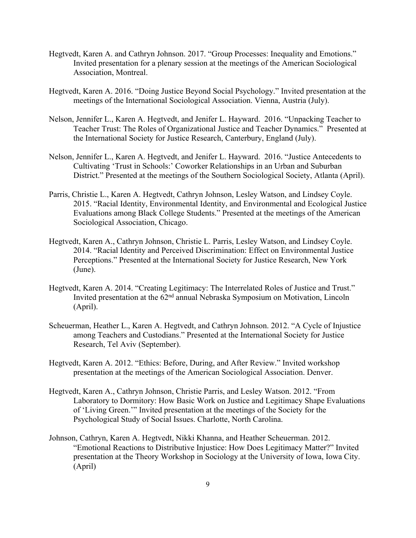- Hegtvedt, Karen A. and Cathryn Johnson. 2017. "Group Processes: Inequality and Emotions." Invited presentation for a plenary session at the meetings of the American Sociological Association, Montreal.
- Hegtvedt, Karen A. 2016. "Doing Justice Beyond Social Psychology." Invited presentation at the meetings of the International Sociological Association. Vienna, Austria (July).
- Nelson, Jennifer L., Karen A. Hegtvedt, and Jenifer L. Hayward. 2016. "Unpacking Teacher to Teacher Trust: The Roles of Organizational Justice and Teacher Dynamics." Presented at the International Society for Justice Research, Canterbury, England (July).
- Nelson, Jennifer L., Karen A. Hegtvedt, and Jenifer L. Hayward. 2016. "Justice Antecedents to Cultivating 'Trust in Schools:' Coworker Relationships in an Urban and Suburban District." Presented at the meetings of the Southern Sociological Society, Atlanta (April).
- Parris, Christie L., Karen A. Hegtvedt, Cathryn Johnson, Lesley Watson, and Lindsey Coyle. 2015. "Racial Identity, Environmental Identity, and Environmental and Ecological Justice Evaluations among Black College Students." Presented at the meetings of the American Sociological Association, Chicago.
- Hegtvedt, Karen A., Cathryn Johnson, Christie L. Parris, Lesley Watson, and Lindsey Coyle. 2014. "Racial Identity and Perceived Discrimination: Effect on Environmental Justice Perceptions." Presented at the International Society for Justice Research, New York (June).
- Hegtvedt, Karen A. 2014. "Creating Legitimacy: The Interrelated Roles of Justice and Trust." Invited presentation at the 62nd annual Nebraska Symposium on Motivation, Lincoln (April).
- Scheuerman, Heather L., Karen A. Hegtvedt, and Cathryn Johnson. 2012. "A Cycle of Injustice among Teachers and Custodians." Presented at the International Society for Justice Research, Tel Aviv (September).
- Hegtvedt, Karen A. 2012. "Ethics: Before, During, and After Review." Invited workshop presentation at the meetings of the American Sociological Association. Denver.
- Hegtvedt, Karen A., Cathryn Johnson, Christie Parris, and Lesley Watson. 2012. "From Laboratory to Dormitory: How Basic Work on Justice and Legitimacy Shape Evaluations of 'Living Green.'" Invited presentation at the meetings of the Society for the Psychological Study of Social Issues. Charlotte, North Carolina.
- Johnson, Cathryn, Karen A. Hegtvedt, Nikki Khanna, and Heather Scheuerman. 2012. "Emotional Reactions to Distributive Injustice: How Does Legitimacy Matter?" Invited presentation at the Theory Workshop in Sociology at the University of Iowa, Iowa City. (April)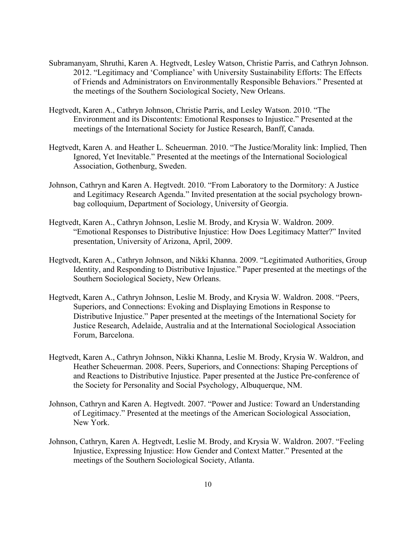- Subramanyam, Shruthi, Karen A. Hegtvedt, Lesley Watson, Christie Parris, and Cathryn Johnson. 2012. "Legitimacy and 'Compliance' with University Sustainability Efforts: The Effects of Friends and Administrators on Environmentally Responsible Behaviors." Presented at the meetings of the Southern Sociological Society, New Orleans.
- Hegtvedt, Karen A., Cathryn Johnson, Christie Parris, and Lesley Watson. 2010. "The Environment and its Discontents: Emotional Responses to Injustice." Presented at the meetings of the International Society for Justice Research, Banff, Canada.
- Hegtvedt, Karen A. and Heather L. Scheuerman. 2010. "The Justice/Morality link: Implied, Then Ignored, Yet Inevitable." Presented at the meetings of the International Sociological Association, Gothenburg, Sweden.
- Johnson, Cathryn and Karen A. Hegtvedt. 2010. "From Laboratory to the Dormitory: A Justice and Legitimacy Research Agenda." Invited presentation at the social psychology brownbag colloquium, Department of Sociology, University of Georgia.
- Hegtvedt, Karen A., Cathryn Johnson, Leslie M. Brody, and Krysia W. Waldron. 2009. "Emotional Responses to Distributive Injustice: How Does Legitimacy Matter?" Invited presentation, University of Arizona, April, 2009.
- Hegtvedt, Karen A., Cathryn Johnson, and Nikki Khanna. 2009. "Legitimated Authorities, Group Identity, and Responding to Distributive Injustice." Paper presented at the meetings of the Southern Sociological Society, New Orleans.
- Hegtvedt, Karen A., Cathryn Johnson, Leslie M. Brody, and Krysia W. Waldron. 2008. "Peers, Superiors, and Connections: Evoking and Displaying Emotions in Response to Distributive Injustice." Paper presented at the meetings of the International Society for Justice Research, Adelaide, Australia and at the International Sociological Association Forum, Barcelona.
- Hegtvedt, Karen A., Cathryn Johnson, Nikki Khanna, Leslie M. Brody, Krysia W. Waldron, and Heather Scheuerman. 2008. Peers, Superiors, and Connections: Shaping Perceptions of and Reactions to Distributive Injustice. Paper presented at the Justice Pre-conference of the Society for Personality and Social Psychology, Albuquerque, NM.
- Johnson, Cathryn and Karen A. Hegtvedt. 2007. "Power and Justice: Toward an Understanding of Legitimacy." Presented at the meetings of the American Sociological Association, New York.
- Johnson, Cathryn, Karen A. Hegtvedt, Leslie M. Brody, and Krysia W. Waldron. 2007. "Feeling Injustice, Expressing Injustice: How Gender and Context Matter." Presented at the meetings of the Southern Sociological Society, Atlanta.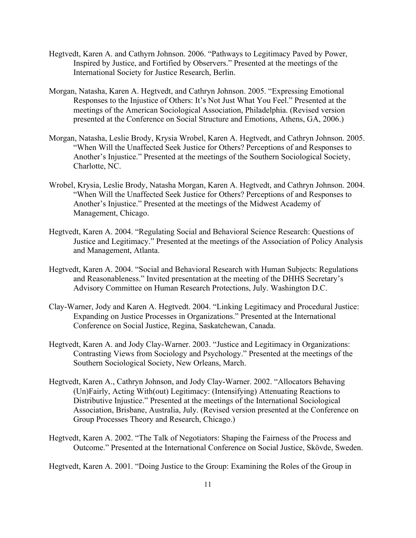- Hegtvedt, Karen A. and Cathyrn Johnson. 2006. "Pathways to Legitimacy Paved by Power, Inspired by Justice, and Fortified by Observers." Presented at the meetings of the International Society for Justice Research, Berlin.
- Morgan, Natasha, Karen A. Hegtvedt, and Cathryn Johnson. 2005. "Expressing Emotional Responses to the Injustice of Others: It's Not Just What You Feel." Presented at the meetings of the American Sociological Association, Philadelphia. (Revised version presented at the Conference on Social Structure and Emotions, Athens, GA, 2006.)
- Morgan, Natasha, Leslie Brody, Krysia Wrobel, Karen A. Hegtvedt, and Cathryn Johnson. 2005. "When Will the Unaffected Seek Justice for Others? Perceptions of and Responses to Another's Injustice." Presented at the meetings of the Southern Sociological Society, Charlotte, NC.
- Wrobel, Krysia, Leslie Brody, Natasha Morgan, Karen A. Hegtvedt, and Cathryn Johnson. 2004. "When Will the Unaffected Seek Justice for Others? Perceptions of and Responses to Another's Injustice." Presented at the meetings of the Midwest Academy of Management, Chicago.
- Hegtvedt, Karen A. 2004. "Regulating Social and Behavioral Science Research: Questions of Justice and Legitimacy." Presented at the meetings of the Association of Policy Analysis and Management, Atlanta.
- Hegtvedt, Karen A. 2004. "Social and Behavioral Research with Human Subjects: Regulations and Reasonableness." Invited presentation at the meeting of the DHHS Secretary's Advisory Committee on Human Research Protections, July. Washington D.C.
- Clay-Warner, Jody and Karen A. Hegtvedt. 2004. "Linking Legitimacy and Procedural Justice: Expanding on Justice Processes in Organizations." Presented at the International Conference on Social Justice, Regina, Saskatchewan, Canada.
- Hegtvedt, Karen A. and Jody Clay-Warner. 2003. "Justice and Legitimacy in Organizations: Contrasting Views from Sociology and Psychology." Presented at the meetings of the Southern Sociological Society, New Orleans, March.
- Hegtvedt, Karen A., Cathryn Johnson, and Jody Clay-Warner. 2002. "Allocators Behaving (Un)Fairly, Acting With(out) Legitimacy: (Intensifying) Attenuating Reactions to Distributive Injustice." Presented at the meetings of the International Sociological Association, Brisbane, Australia, July. (Revised version presented at the Conference on Group Processes Theory and Research, Chicago.)
- Hegtvedt, Karen A. 2002. "The Talk of Negotiators: Shaping the Fairness of the Process and Outcome." Presented at the International Conference on Social Justice, Skövde, Sweden.

Hegtvedt, Karen A. 2001. "Doing Justice to the Group: Examining the Roles of the Group in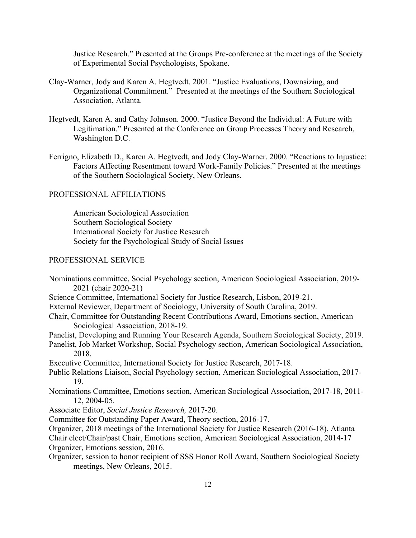Justice Research." Presented at the Groups Pre-conference at the meetings of the Society of Experimental Social Psychologists, Spokane.

- Clay-Warner, Jody and Karen A. Hegtvedt. 2001. "Justice Evaluations, Downsizing, and Organizational Commitment." Presented at the meetings of the Southern Sociological Association, Atlanta.
- Hegtvedt, Karen A. and Cathy Johnson. 2000. "Justice Beyond the Individual: A Future with Legitimation." Presented at the Conference on Group Processes Theory and Research, Washington D.C.
- Ferrigno, Elizabeth D., Karen A. Hegtvedt, and Jody Clay-Warner. 2000. "Reactions to Injustice: Factors Affecting Resentment toward Work-Family Policies." Presented at the meetings of the Southern Sociological Society, New Orleans.

# PROFESSIONAL AFFILIATIONS

American Sociological Association Southern Sociological Society International Society for Justice Research Society for the Psychological Study of Social Issues

#### PROFESSIONAL SERVICE

Nominations committee, Social Psychology section, American Sociological Association, 2019- 2021 (chair 2020-21)

- Science Committee, International Society for Justice Research, Lisbon, 2019-21.
- External Reviewer, Department of Sociology, University of South Carolina, 2019.
- Chair, Committee for Outstanding Recent Contributions Award, Emotions section, American Sociological Association, 2018-19.
- Panelist, Developing and Running Your Research Agenda, Southern Sociological Society, 2019.

Panelist, Job Market Workshop, Social Psychology section, American Sociological Association, 2018.

Executive Committee, International Society for Justice Research, 2017-18.

- Public Relations Liaison, Social Psychology section, American Sociological Association, 2017- 19.
- Nominations Committee, Emotions section, American Sociological Association, 2017-18, 2011- 12, 2004-05.
- Associate Editor, *Social Justice Research,* 2017-20.
- Committee for Outstanding Paper Award, Theory section, 2016-17.

Organizer, 2018 meetings of the International Society for Justice Research (2016-18), Atlanta

Chair elect/Chair/past Chair, Emotions section, American Sociological Association, 2014-17 Organizer, Emotions session, 2016.

Organizer, session to honor recipient of SSS Honor Roll Award, Southern Sociological Society meetings, New Orleans, 2015.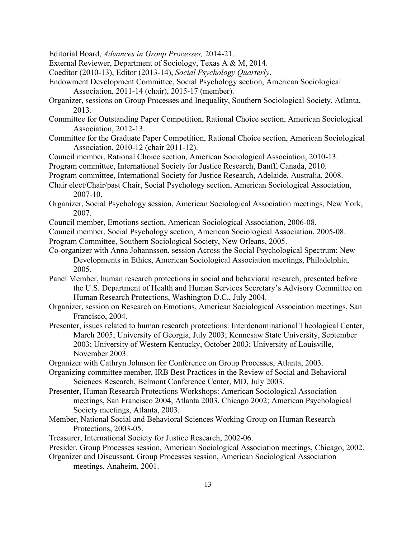Editorial Board, *Advances in Group Processes,* 2014-21.

- External Reviewer, Department of Sociology, Texas A & M, 2014.
- Coeditor (2010-13), Editor (2013-14), *Social Psychology Quarterly*.
- Endowment Development Committee, Social Psychology section, American Sociological Association, 2011-14 (chair), 2015-17 (member).
- Organizer, sessions on Group Processes and Inequality, Southern Sociological Society, Atlanta, 2013.
- Committee for Outstanding Paper Competition, Rational Choice section, American Sociological Association, 2012-13.
- Committee for the Graduate Paper Competition, Rational Choice section, American Sociological Association, 2010-12 (chair 2011-12).
- Council member, Rational Choice section, American Sociological Association, 2010-13.
- Program committee, International Society for Justice Research, Banff, Canada, 2010.
- Program committee, International Society for Justice Research, Adelaide, Australia, 2008.
- Chair elect/Chair/past Chair, Social Psychology section, American Sociological Association, 2007-10.
- Organizer, Social Psychology session, American Sociological Association meetings, New York, 2007.
- Council member, Emotions section, American Sociological Association, 2006-08.
- Council member, Social Psychology section, American Sociological Association, 2005-08.
- Program Committee, Southern Sociological Society, New Orleans, 2005.
- Co-organizer with Anna Johannsson, session Across the Social Psychological Spectrum: New Developments in Ethics, American Sociological Association meetings, Philadelphia, 2005.
- Panel Member, human research protections in social and behavioral research, presented before the U.S. Department of Health and Human Services Secretary's Advisory Committee on Human Research Protections, Washington D.C., July 2004.
- Organizer, session on Research on Emotions, American Sociological Association meetings, San Francisco, 2004.
- Presenter, issues related to human research protections: Interdenominational Theological Center, March 2005; University of Georgia, July 2003; Kennesaw State University, September 2003; University of Western Kentucky, October 2003; University of Louisville, November 2003.
- Organizer with Cathryn Johnson for Conference on Group Processes, Atlanta, 2003.
- Organizing committee member, IRB Best Practices in the Review of Social and Behavioral Sciences Research, Belmont Conference Center, MD, July 2003.
- Presenter, Human Research Protections Workshops: American Sociological Association meetings, San Francisco 2004, Atlanta 2003, Chicago 2002; American Psychological Society meetings, Atlanta, 2003.
- Member, National Social and Behavioral Sciences Working Group on Human Research Protections, 2003-05.
- Treasurer, International Society for Justice Research, 2002-06.
- Presider, Group Processes session, American Sociological Association meetings, Chicago, 2002.
- Organizer and Discussant, Group Processes session, American Sociological Association meetings, Anaheim, 2001.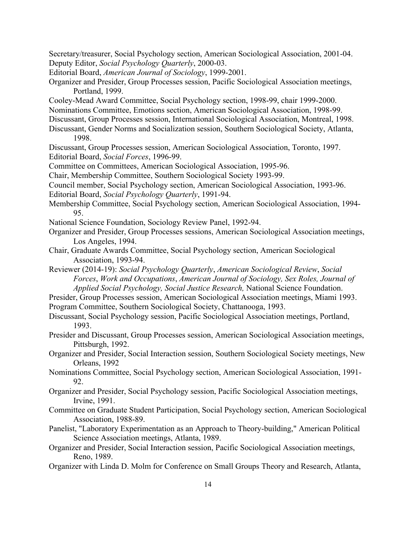Secretary/treasurer, Social Psychology section, American Sociological Association, 2001-04. Deputy Editor, *Social Psychology Quarterly*, 2000-03.

Editorial Board, *American Journal of Sociology*, 1999-2001.

- Organizer and Presider, Group Processes session, Pacific Sociological Association meetings, Portland, 1999.
- Cooley-Mead Award Committee, Social Psychology section, 1998-99, chair 1999-2000.
- Nominations Committee, Emotions section, American Sociological Association, 1998-99.
- Discussant, Group Processes session, International Sociological Association, Montreal, 1998.
- Discussant, Gender Norms and Socialization session, Southern Sociological Society, Atlanta, 1998.
- Discussant, Group Processes session, American Sociological Association, Toronto, 1997. Editorial Board, *Social Forces*, 1996-99.

Committee on Committees, American Sociological Association, 1995-96.

Chair, Membership Committee, Southern Sociological Society 1993-99.

- Council member, Social Psychology section, American Sociological Association, 1993-96.
- Editorial Board, *Social Psychology Quarterly*, 1991-94.
- Membership Committee, Social Psychology section, American Sociological Association, 1994- 95.
- National Science Foundation, Sociology Review Panel, 1992-94.
- Organizer and Presider, Group Processes sessions, American Sociological Association meetings, Los Angeles, 1994.
- Chair, Graduate Awards Committee, Social Psychology section, American Sociological Association, 1993-94.
- Reviewer (2014-19): *Social Psychology Quarterly*, *American Sociological Review*, *Social Forces*, *Work and Occupations*, *American Journal of Sociology, Sex Roles, Journal of Applied Social Psychology, Social Justice Research,* National Science Foundation.
- Presider, Group Processes session, American Sociological Association meetings, Miami 1993. Program Committee, Southern Sociological Society, Chattanooga, 1993.
- Discussant, Social Psychology session, Pacific Sociological Association meetings, Portland, 1993.
- Presider and Discussant, Group Processes session, American Sociological Association meetings, Pittsburgh, 1992.
- Organizer and Presider, Social Interaction session, Southern Sociological Society meetings, New Orleans, 1992
- Nominations Committee, Social Psychology section, American Sociological Association, 1991- 92.
- Organizer and Presider, Social Psychology session, Pacific Sociological Association meetings, Irvine, 1991.
- Committee on Graduate Student Participation, Social Psychology section, American Sociological Association, 1988-89.
- Panelist, "Laboratory Experimentation as an Approach to Theory-building," American Political Science Association meetings, Atlanta, 1989.
- Organizer and Presider, Social Interaction session, Pacific Sociological Association meetings, Reno, 1989.
- Organizer with Linda D. Molm for Conference on Small Groups Theory and Research, Atlanta,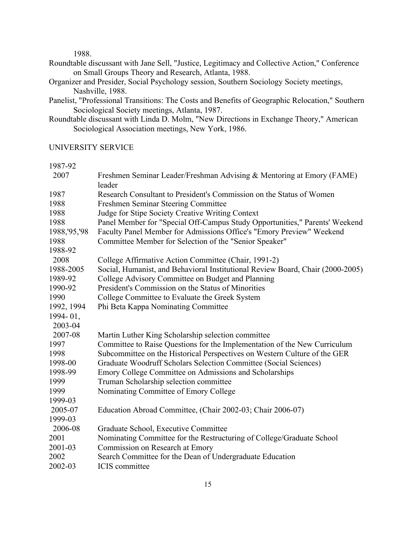1988.

- Roundtable discussant with Jane Sell, "Justice, Legitimacy and Collective Action," Conference on Small Groups Theory and Research, Atlanta, 1988.
- Organizer and Presider, Social Psychology session, Southern Sociology Society meetings, Nashville, 1988.
- Panelist, "Professional Transitions: The Costs and Benefits of Geographic Relocation," Southern Sociological Society meetings, Atlanta, 1987.
- Roundtable discussant with Linda D. Molm, "New Directions in Exchange Theory," American Sociological Association meetings, New York, 1986.

# UNIVERSITY SERVICE

1987-92

| 2007           | Freshmen Seminar Leader/Freshman Advising & Mentoring at Emory (FAME)<br>leader |
|----------------|---------------------------------------------------------------------------------|
| 1987           | Research Consultant to President's Commission on the Status of Women            |
| 1988           | Freshmen Seminar Steering Committee                                             |
| 1988           | Judge for Stipe Society Creative Writing Context                                |
| 1988           | Panel Member for "Special Off-Campus Study Opportunities," Parents' Weekend     |
| 1988, '95, '98 | Faculty Panel Member for Admissions Office's "Emory Preview" Weekend            |
| 1988           | Committee Member for Selection of the "Senior Speaker"                          |
| 1988-92        |                                                                                 |
| 2008           | College Affirmative Action Committee (Chair, 1991-2)                            |
| 1988-2005      | Social, Humanist, and Behavioral Institutional Review Board, Chair (2000-2005)  |
| 1989-92        | College Advisory Committee on Budget and Planning                               |
| 1990-92        | President's Commission on the Status of Minorities                              |
| 1990           | College Committee to Evaluate the Greek System                                  |
| 1992, 1994     | Phi Beta Kappa Nominating Committee                                             |
| 1994-01,       |                                                                                 |
| 2003-04        |                                                                                 |
| 2007-08        | Martin Luther King Scholarship selection committee                              |
| 1997           | Committee to Raise Questions for the Implementation of the New Curriculum       |
| 1998           | Subcommittee on the Historical Perspectives on Western Culture of the GER       |
| 1998-00        | Graduate Woodruff Scholars Selection Committee (Social Sciences)                |
| 1998-99        | Emory College Committee on Admissions and Scholarships                          |
| 1999           | Truman Scholarship selection committee                                          |
| 1999           | Nominating Committee of Emory College                                           |
| 1999-03        |                                                                                 |
| 2005-07        | Education Abroad Committee, (Chair 2002-03; Chair 2006-07)                      |
| 1999-03        |                                                                                 |
| 2006-08        | Graduate School, Executive Committee                                            |
| 2001           | Nominating Committee for the Restructuring of College/Graduate School           |
| 2001-03        | Commission on Research at Emory                                                 |
| 2002           | Search Committee for the Dean of Undergraduate Education                        |
| 2002-03        | <b>ICIS</b> committee                                                           |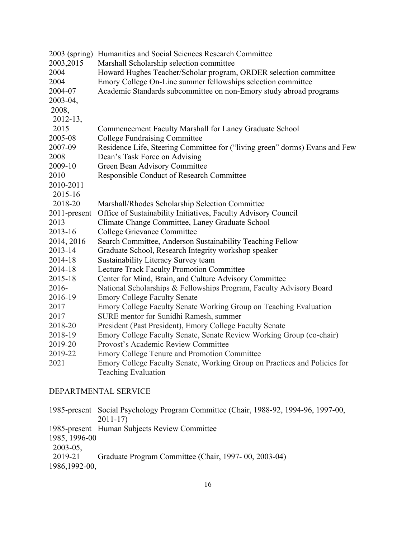| 2003 (spring) | Humanities and Social Sciences Research Committee                                                |
|---------------|--------------------------------------------------------------------------------------------------|
| 2003, 2015    | Marshall Scholarship selection committee                                                         |
| 2004          | Howard Hughes Teacher/Scholar program, ORDER selection committee                                 |
| 2004          | Emory College On-Line summer fellowships selection committee                                     |
| 2004-07       | Academic Standards subcommittee on non-Emory study abroad programs                               |
| 2003-04,      |                                                                                                  |
| 2008,         |                                                                                                  |
| 2012-13,      |                                                                                                  |
| 2015          | Commencement Faculty Marshall for Laney Graduate School                                          |
| 2005-08       | <b>College Fundraising Committee</b>                                                             |
| 2007-09       | Residence Life, Steering Committee for ("living green" dorms) Evans and Few                      |
| 2008          | Dean's Task Force on Advising                                                                    |
| 2009-10       | Green Bean Advisory Committee                                                                    |
| 2010          | Responsible Conduct of Research Committee                                                        |
| 2010-2011     |                                                                                                  |
| 2015-16       |                                                                                                  |
| 2018-20       | Marshall/Rhodes Scholarship Selection Committee                                                  |
| 2011-present  | Office of Sustainability Initiatives, Faculty Advisory Council                                   |
| 2013          | Climate Change Committee, Laney Graduate School                                                  |
| 2013-16       | College Grievance Committee                                                                      |
| 2014, 2016    | Search Committee, Anderson Sustainability Teaching Fellow                                        |
| 2013-14       | Graduate School, Research Integrity workshop speaker                                             |
| 2014-18       | Sustainability Literacy Survey team                                                              |
| 2014-18       | <b>Lecture Track Faculty Promotion Committee</b>                                                 |
| 2015-18       | Center for Mind, Brain, and Culture Advisory Committee                                           |
| 2016-         | National Scholarships & Fellowships Program, Faculty Advisory Board                              |
| 2016-19       | <b>Emory College Faculty Senate</b>                                                              |
| 2017          | Emory College Faculty Senate Working Group on Teaching Evaluation                                |
| 2017          | SURE mentor for Sunidhi Ramesh, summer                                                           |
| 2018-20       | President (Past President), Emory College Faculty Senate                                         |
| 2018-19       | Emory College Faculty Senate, Senate Review Working Group (co-chair)                             |
| 2019-20       | Provost's Academic Review Committee                                                              |
| 2019-22       | <b>Emory College Tenure and Promotion Committee</b>                                              |
| 2021          | Emory College Faculty Senate, Working Group on Practices and Policies for<br>Teaching Evaluation |
|               |                                                                                                  |

# DEPARTMENTAL SERVICE

| 1985-present Social Psychology Program Committee (Chair, 1988-92, 1994-96, 1997-00, |
|-------------------------------------------------------------------------------------|
| $2011 - 17$                                                                         |

- 1985-present Human Subjects Review Committee
- 1985, 1996-00
- 2003-05,<br>2019-21
- 2019-21 Graduate Program Committee (Chair, 1997- 00, 2003-04)
- 1986,1992-00,